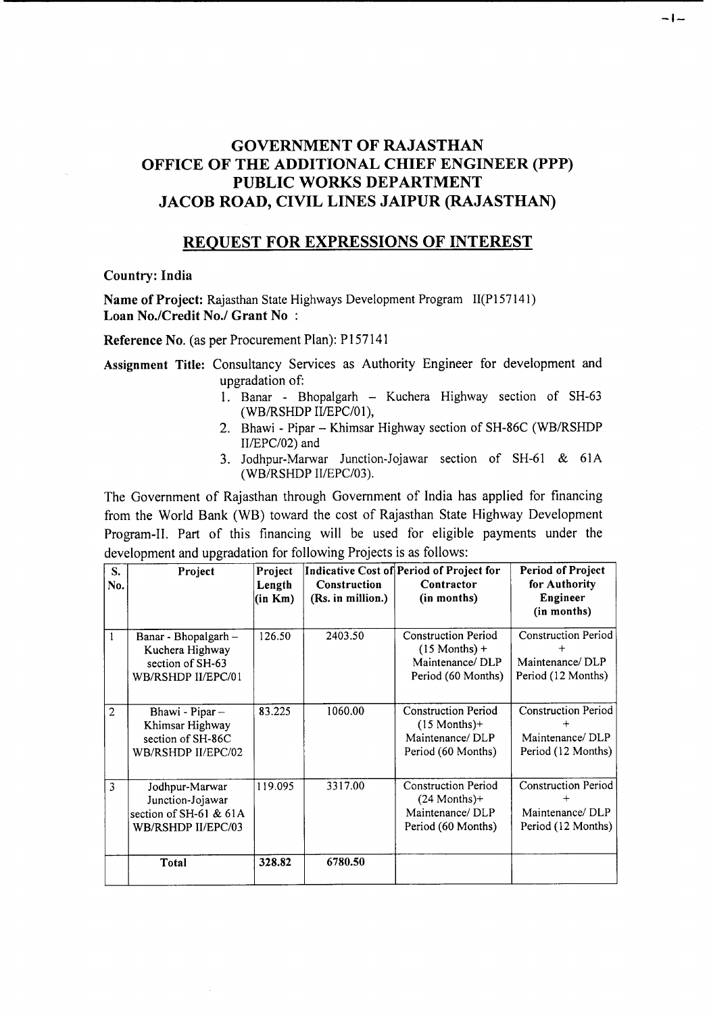# GOVERNMENT OF RAJASTHAN OFFICE OF THE ADDITIONAL CHIEF ENGINEER (PPP) PUBLIC WORKS DEPARTMENT JACOB ROAD, CIVIL LINES JAIPUR (RAJASTHAN)

# REQUEST FOR EXPRESSIONS OF INTEREST

#### Country: India

Name of Project: Rajasthan State Highways Development Program II(P157141) Loan No./Credit No./ Grant No:

Reference No. (as per Procurement Plan): P157141

Assignment Title: Consultancy Services as Authority Engineer for development and upgradation of:

> 1. Banar - Bhopalgarh - Kuchera Highway section of SH-63 (WB/RSHDP II/EPC/01),

-1-

- 2. Bhawi Pipar Khimsar Highway section of SH-86C (WB/RSHDP II/EPC/02) and
- 3. Jodhpur-Marwar Junction-Jojawar section of SH-61 & 61A (WB/RSHDP II/EPC/03).

The Government of Rajasthan through Government of India has applied for financing from the World Bank (WB) toward the cost of Rajasthan State Highway Development Program-II. Part of this financing will be used for eligible payments under the development and upgradation for following Projects is as follows:

| S.<br>No.      | Project                                                                            | Project<br>Length<br>(in Km) | Construction<br>(Rs. in million.) | Indicative Cost of Period of Project for<br>Contractor<br>(in months)                  | <b>Period of Project</b><br>for Authority<br>Engineer<br>(in months) |
|----------------|------------------------------------------------------------------------------------|------------------------------|-----------------------------------|----------------------------------------------------------------------------------------|----------------------------------------------------------------------|
| $\mathbf{1}$   | Banar - Bhopalgarh -<br>Kuchera Highway<br>section of SH-63<br>WB/RSHDP II/EPC/01  | 126.50                       | 2403.50                           | <b>Construction Period</b><br>$(15$ Months) +<br>Maintenance/DLP<br>Period (60 Months) | <b>Construction Period</b><br>Maintenance/DLP<br>Period (12 Months)  |
| $\overline{2}$ | Bhawi - Pipar -<br>Khimsar Highway<br>section of SH-86C<br>WB/RSHDP II/EPC/02      | 83.225                       | 1060.00                           | <b>Construction Period</b><br>$(15$ Months)+<br>Maintenance/DLP<br>Period (60 Months)  | <b>Construction Period</b><br>Maintenance/DLP<br>Period (12 Months)  |
| 3              | Jodhpur-Marwar<br>Junction-Jojawar<br>section of SH-61 & 61A<br>WB/RSHDP II/EPC/03 | 119.095                      | 3317.00                           | <b>Construction Period</b><br>$(24$ Months)+<br>Maintenance/DLP<br>Period (60 Months)  | <b>Construction Period</b><br>Maintenance/DLP<br>Period (12 Months)  |
|                | Total                                                                              | 328.82                       | 6780.50                           |                                                                                        |                                                                      |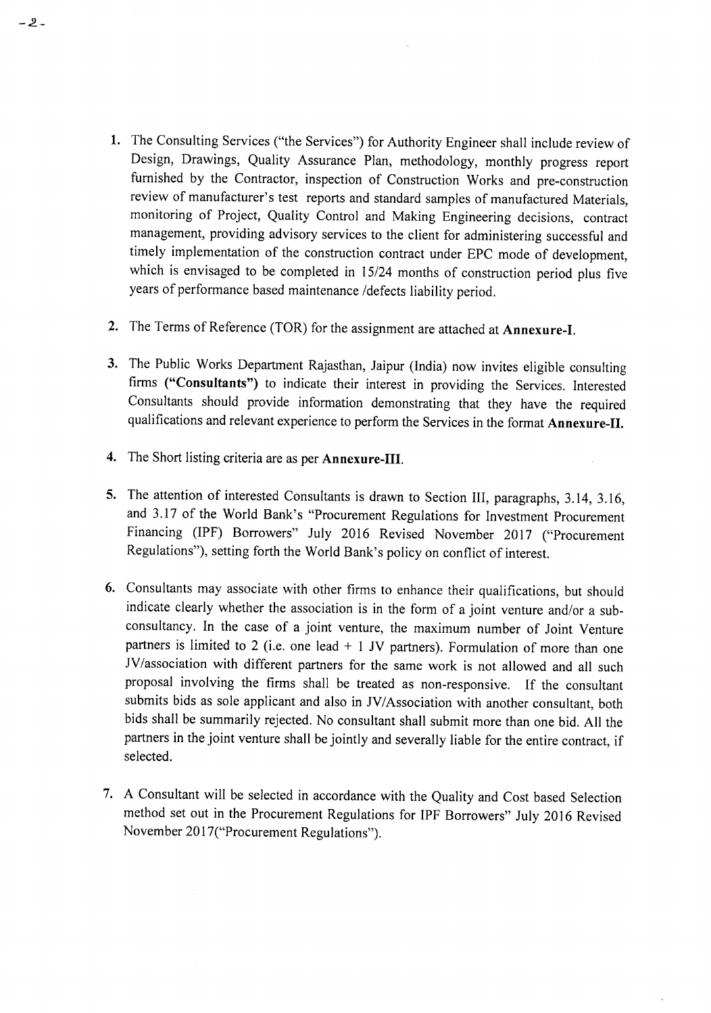- 1. The Consulting Services ("the Services") for Authority Engineer shall include review of Design, Drawings, Quality Assurance Plan, methodology, monthly progress report furnished by the Contractor, inspection of Construction Works and pre-construction review of manufacturer's test reports and standard samples of manufactured Materials, monitoring of Project, Quality Control and Making Engineering decisions, contract management, providing advisory services to the client for administering successful and timely implementation of the construction contract under EPC mode of development, which is envisaged to be completed in 15/24 months of construction period plus five years of performance based maintenance /defects liability period.
- 2. The Terms of Reference (TOR) for the assignment are attached at Annexure-I.
- 3. The Public Works Department Rajasthan, Jaipur (India) now invites eligible consulting firms ("Consultants") to indicate their interest in providing the Services. Interested Consultants should provide information demonstrating that they have the required qualifications and relevant experience to perform the Services in the format Annexure-II.
- 4. The Short listing criteria are as per Annexure-III.

-2-

- 5. The attention of interested Consultants is drawn to Section III, paragraphs, 3.14, 3.16, and 3.17 of the World Bank's "Procurement Regulations for Investment Procurement Financing (IPF) Borrowers" July 2016 Revised November 2017 ("Procurement Regulations"), setting forth the World Bank's policy on conflict of interest.
- 6. Consultants may associate with other firms to enhance their qualifications, but should indicate clearly whether the association is in the form of a joint venture and/or a subconsultancy. In the case of a joint venture, the maximum number of Joint Venture partners is limited to 2 (i.e. one lead  $+$  1 JV partners). Formulation of more than one JV/association with different partners for the same work is not allowed and all such proposal involving the firms shall be treated as non-responsive. If the consultant submits bids as sole applicant and also in JV/Association with another consultant, both bids shall be summarily rejected. No consultant shall submit more than one bid. All the partners in the joint venture shall be jointly and severally liable for the entire contract, if selected.
- 7. A Consultant will be selected in accordance with the Quality and Cost based Selection method set out in the Procurement Regulations for IPF Borrowers" July 2016 Revised November 2017("Procurement Regulations").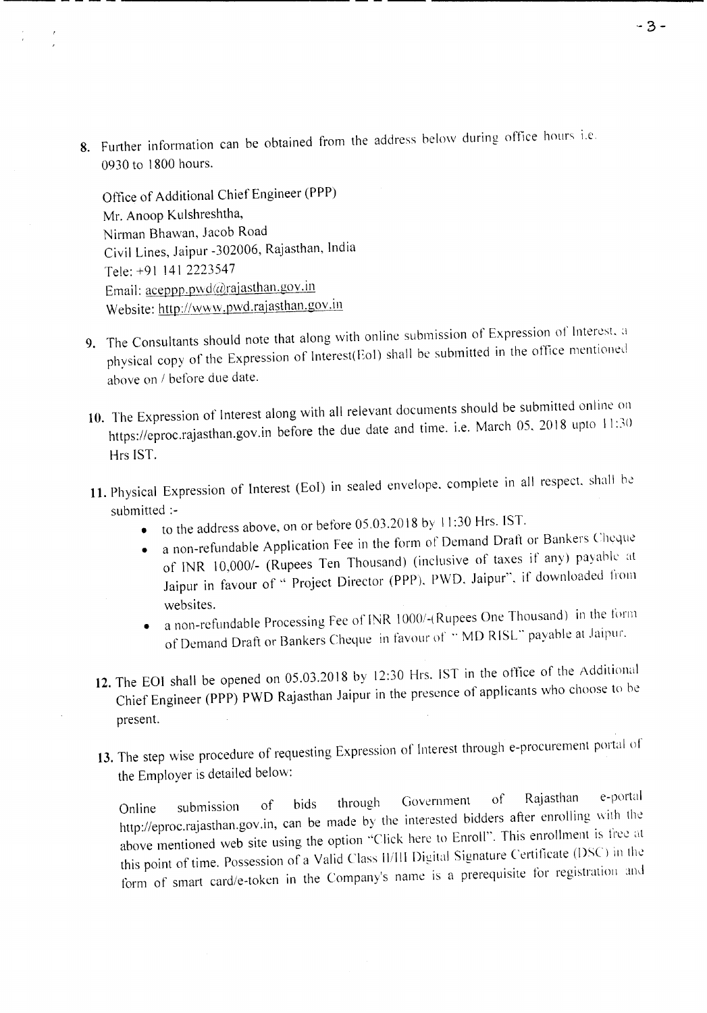8. Further information can be obtained from the address below during office hours i.e. 0930 to 1800 hours.

Office of Additional Chief Engineer (PPP) Mr. Anoop Kulshreshtha, Nirman Bhawan, Jacob Road Civil Lines, Jaipur -302006, Rajasthan, India Tele: +91 141 2223547 Email: aceppp.pwd@rajasthan.gov.in Website: http://www.pwd.rajasthan.gov.in

--- --- - -----------

- 9. The Consultants should note that along with online submission of Expression of Interest, a physical copy of the Expression of Interest(Eol) shall be submitted in the office mentioned above on *I* before due date.
- 10. The Expression of Interest along with all relevant documents should be submitted online on https://eproc.rajasthan.gov.in before the due date and time. i.e. March 05, 2018 upto 11:30 Hrs 1ST.
- 11. Physical Expression of Interest (EoI) in sealed envelope, complete in all respect, shall be submitted :-
	- to the address above, on or before 05.03.2018 by II :30 Hrs. 1ST.
	- a non-refundable Application Fee in the form of Demand Draft or Bankers Cheque of INR *10,0001-* (Rupees Ten Thousand) (inclusive of taxes if any) payable at Jaipur in favour of " Project Director (PPP), PWD, Jaipur", if downloaded from websites.
	- a non-refundable Processing Fee of INR 1000/-( Rupees One Thousand) in the form of Demand Draft or Bankers Cheque in favour of "MD RISL" payable at Jaipur.
- 12. The EOI shall be opened on 05.03.2018 by 12:30 Hrs. 1ST in the office of the Additional Chief Engineer (PPP) PWD Rajasthan Jaipur in the presence of applicants who choose to be present.
- 13. The step wise procedure of requesting Expression of Interest through e-procurement portal of the Employer is detailed below:

Online submission of bids through (Jovernment of Rajasthan e-portul http://eproc.rajasthan.gov.in, can be made by the interested bidders after enrolling with the above mentioned web site using the option "Click here to Enroll". This enrollment is free at this point of time. Possession of a Valid Class II/III Digital Signature Certificate (DSC) in the form of smart card/e-token in the Company's name is a prerequisite for registration and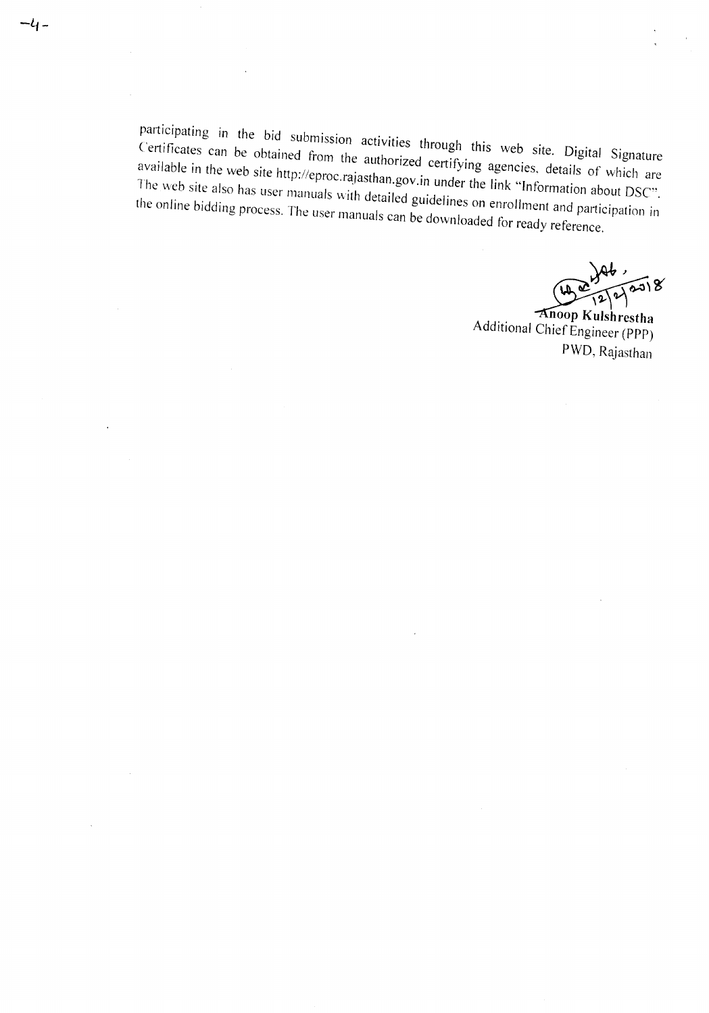participating in the bid submission activities through this web site. Digital Signature **Certificates can be obtained from the authorized certifying agencies, details of which are available in the web site** http://eproc.r~jasthan.gov.in **under the link "Information about DSC".** The web site also has user manuals with detailed guidelines on enrollment and participation in **the online bidding process. The user manuals can be downloaded for ready reference.**

 $-4-$ 

 $(\bm{w}^{\tau}_{\bm{k}})$  $46, 8$ <br> $400$ <br> $4222$ <br> $72238$ 

**Additional** Chief Engineer **(PPP) PWD**, Rajasthan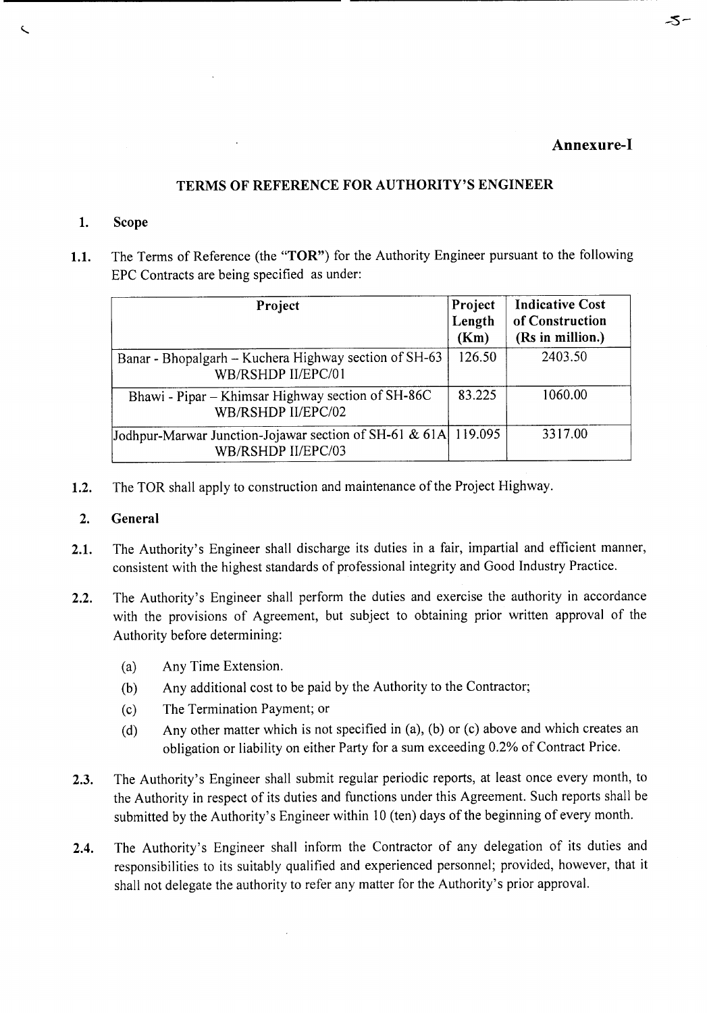#### Annexure-I

-5-

## TERMS OF REFERENCE FOR AUTHORITY'S ENGINEER

#### 1. Scope

L

1.1. The Terms of Reference (the "TOR") for the Authority Engineer pursuant to the following EPC Contracts are being specified as under:

| Project                                                                              | Project<br>Length<br>(Km) | <b>Indicative Cost</b><br>of Construction<br>(Rs in million.) |
|--------------------------------------------------------------------------------------|---------------------------|---------------------------------------------------------------|
| Banar - Bhopalgarh - Kuchera Highway section of SH-63<br>WB/RSHDP II/EPC/01          | 126.50                    | 2403.50                                                       |
| Bhawi - Pipar – Khimsar Highway section of SH-86C<br>WB/RSHDP II/EPC/02              | 83.225                    | 1060.00                                                       |
| Jodhpur-Marwar Junction-Jojawar section of SH-61 & 61A 119.095<br>WB/RSHDP II/EPC/03 |                           | 3317.00                                                       |

1.2. The TOR shall apply to construction and maintenance of the Project Highway.

#### 2. General

- 2.1. The Authority's Engineer shall discharge its duties in a fair, impartial and efficient manner, consistent with the highest standards of professional integrity and Good Industry Practice.
- 2.2. The Authority's Engineer shall perform the duties and exercise the authority in accordance with the provisions of Agreement, but subject to obtaining prior written approval of the Authority before determining:
	- (a) Any Time Extension.

 $\mathcal{L}$ 

- (b) Any additional cost to be paid by the Authority to the Contractor;
- (c) The Termination Payment; or
- (d) Any other matter which is not specified in (a), (b) or (c) above and which creates an obligation or liability on either Party for a sum exceeding 0.2% of Contract Price.
- 2.3. The Authority's Engineer shall submit regular periodic reports, at least once every month, to the Authority in respect of its duties and functions under this Agreement. Such reports shall be submitted by the Authority's Engineer within 10 (ten) days of the beginning of every month.
- 2.4. The Authority's Engineer shall inform the Contractor of any delegation of its duties and responsibilities to its suitably qualified and experienced personnel; provided, however, that it shall not delegate the authority to refer any matter for the Authority's prior approval.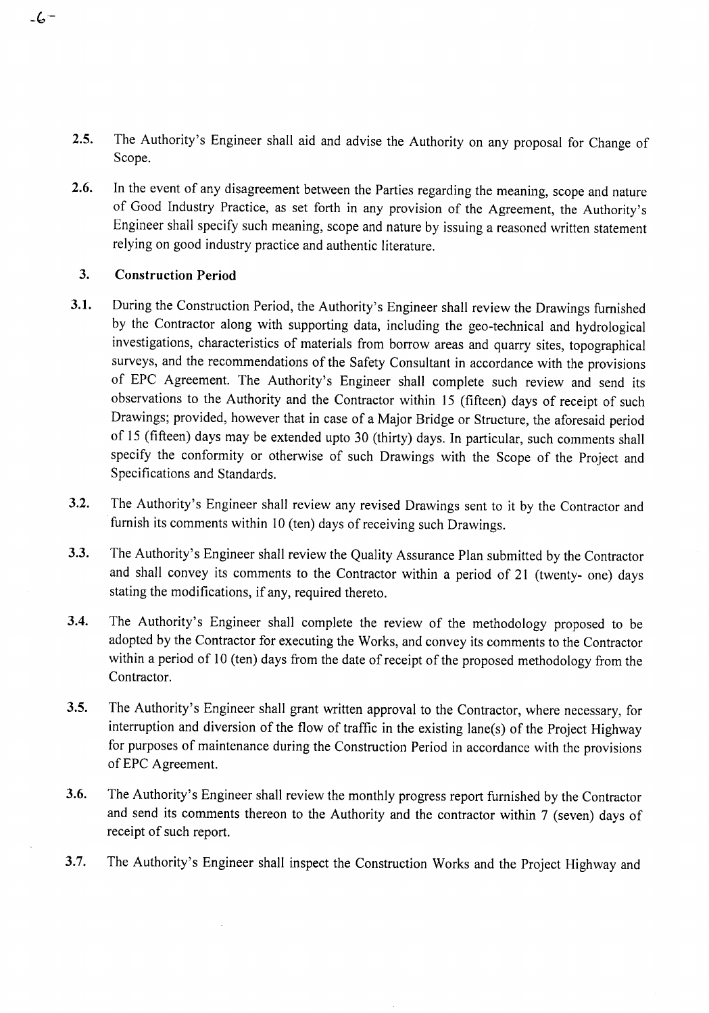- 2.5. The Authority's Engineer shall aid and advise the Authority on any proposal for Change of Scope.
- 2.6. In the event of any disagreement between the Parties regarding the meaning, scope and nature of Good Industry Practice, as set forth in any provision of the Agreement, the Authority's Engineer shall specify such meaning, scope and nature by issuing a reasoned written statement relying on good industry practice and authentic literature.

## 3. Construction Period

- 3.1. During the Construction Period, the Authority's Engineer shall review the Drawings furnished by the Contractor along with supporting data, including the geo-technical and hydrological investigations, characteristics of materials from borrow areas and quarry sites, topographical surveys, and the recommendations of the Safety Consultant in accordance with the provisions of EPC Agreement. The Authority's Engineer shall complete such review and send its observations to the Authority and the Contractor within 15 (fifteen) days of receipt of such Drawings; provided, however that in case of a Major Bridge or Structure, the aforesaid period of 15 (fifteen) days may be extended upto 30 (thirty) days. In particular, such comments shall specify the conformity or otherwise of such Drawings with the Scope of the Project and Specifications and Standards.
- 3.2. The Authority's Engineer shall review any revised Drawings sent to it by the Contractor and furnish its comments within 10 (ten) days of receiving such Drawings.
- 3.3. The Authority's Engineer shall review the Quality Assurance Plan submitted by the Contractor and shall convey its comments to the Contractor within a period of 21 (twenty- one) days stating the modifications, if any, required thereto.
- 3.4. The Authority's Engineer shall complete the review of the methodology proposed to be adopted by the Contractor for executing the Works, and convey its comments to the Contractor within a period of 10 (ten) days from the date of receipt of the proposed methodology from the Contractor.
- 3.5. The Authority's Engineer shall grant written approval to the Contractor, where necessary, for interruption and diversion of the flow of traffic in the existing lane(s) of the Project Highway for purposes of maintenance during the Construction Period in accordance with the provisions of EPC Agreement.
- 3.6. The Authority's Engineer shall review the monthly progress report furnished by the Contractor and send its comments thereon to the Authority and the contractor within 7 (seven) days of receipt of such report.
- 3.7. The Authority's Engineer shall inspect the Construction Works and the Project Highway and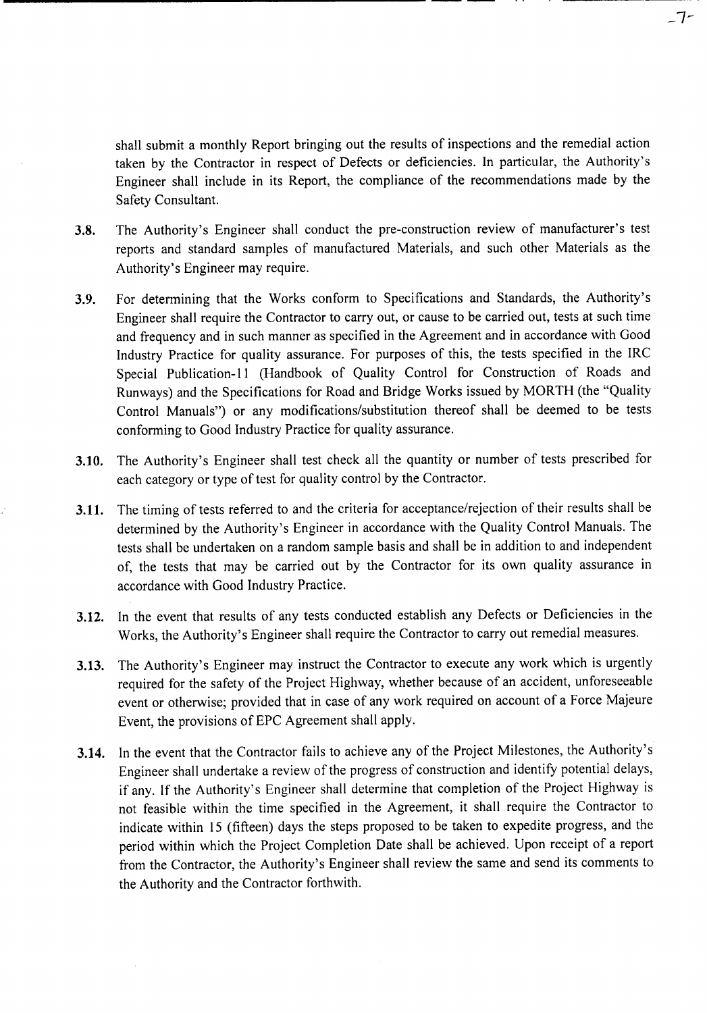shall submit a monthly Report bringing out the results of inspections and the remedial action taken by the Contractor in respect of Defects or deficiencies. In particular, the Authority's Engineer shall include in its Report, the compliance of the recommendations made by the Safety Consultant.

3.8. The Authority's Engineer shall conduct the pre-construction review of manufacturer's test reports and standard samples of manufactured Materials, and such other Materials as the Authority's Engineer may require.

**------------------------------------------------------** -------

- 3.9. For determining that the Works conform to Specifications and Standards, the Authority's Engineer shall require the Contractor to carry out, or cause to be carried out, tests at such time and frequency and in such manner as specified in the Agreement and in accordance with Good Industry Practice for quality assurance. For purposes of this, the tests specified in the IRC Special Publication-ll (Handbook of Quality Control for Construction of Roads and Runways) and the Specifications for Road and Bridge Works issued by MORTH (the "Quality Control Manuals") or any modifications/substitution thereof shall be deemed to be tests conforming to Good Industry Practice for quality assurance.
- 3.10. The Authority's Engineer shall test check all the quantity or number of tests prescribed for each category or type of test for quality control by the Contractor.
- 3.11. The timing of tests referred to and the criteria for acceptance/rejection of their results shall be determined by the Authority's Engineer in accordance with the Quality Control Manuals. The tests shall be undertaken on a random sample basis and shall be in addition to and independent of, the tests that may be carried out by the Contractor for its own quality assurance in accordance with Good Industry Practice.
- 3.12. In the event that results of any tests conducted establish any Defects or Deficiencies in the Works, the Authority's Engineer shall require the Contractor to carry out remedial measures.
- 3.13. The Authority's Engineer may instruct the Contractor to execute any work which is urgently required for the safety of the Project Highway, whether because of an accident, unforeseeable event or otherwise; provided that in case of any work required on account of a Force Majeure Event, the provisions of EPC Agreement shall apply.
- 3.14. In the event that the Contractor fails to achieve any of the Project Milestones, the Authority's Engineer shall undertake a review of the progress of construction and identify potential delays, if any. If the Authority's Engineer shall determine that completion of the Project Highway is not feasible within the time specified in the Agreement, it shall require the Contractor to indicate within 15 (fifteen) days the steps proposed to be taken to expedite progress, and the period within which the Project Completion Date shall be achieved. Upon receipt of a report from the Contractor, the Authority's Engineer shall review the same and send its comments to the Authority and the Contractor forthwith.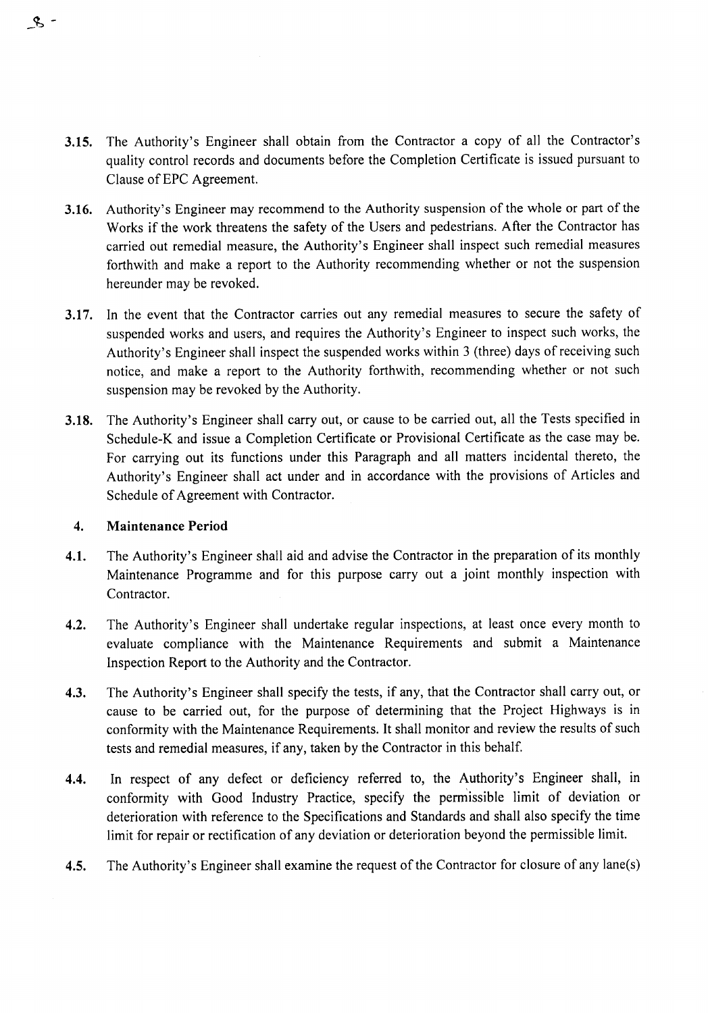- **3.15.** The Authority's Engineer shall obtain from the Contractor a copy of all the Contractor's quality control records and documents before the Completion Certificate is issued pursuant to Clause of EPC Agreement.
- **3.16.** Authority's Engineer may recommend to the Authority suspension of the whole or part of the Works if the work threatens the safety of the Users and pedestrians. After the Contractor has carried out remedial measure, the Authority's Engineer shall inspect such remedial measures forthwith and make a report to the Authority recommending whether or not the suspension hereunder may be revoked.
- **3.17.** In the event that the Contractor carries out any remedial measures to secure the safety of suspended works and users, and requires the Authority's Engineer to inspect such works, the Authority's Engineer shall inspect the suspended works within 3 (three) days of receiving such notice, and make a report to the Authority forthwith, recommending whether or not such suspension may be revoked by the Authority.
- **3.18.** The Authority's Engineer shall carry out, or cause to be carried out, all the Tests specified in Schedule-K and issue a Completion Certificate or Provisional Certificate as the case may be. For carrying out its functions under this Paragraph and all matters incidental thereto, the Authority's Engineer shall act under and in accordance with the provisions of Articles and Schedule of Agreement with Contractor.

#### **4. Maintenance Period**

 $\mathcal{S}$  -

- **4.1.** The Authority's Engineer shall aid and advise the Contractor in the preparation of its monthly Maintenance Programme and for this purpose carry out a joint monthly inspection with Contractor.
- **4.2.** The Authority's Engineer shall undertake regular inspections, at least once every month to evaluate compliance with the Maintenance Requirements and submit a Maintenance Inspection Report to the Authority and the Contractor.
- **4.3.** The Authority's Engineer shall specify the tests, if any, that the Contractor shall carry out, or cause to be carried out, for the purpose of determining that the Project Highways is in conformity with the Maintenance Requirements. It shall monitor and review the results of such tests and remedial measures, if any, taken by the Contractor in this behalf.
- **4.4.** In respect of any defect or deficiency referred to, the Authority's Engineer shall, in conformity with Good Industry Practice, specify the permissible limit of deviation or deterioration with reference to the Specifications and Standards and shall also specify the time limit for repair or rectification of any deviation or deterioration beyond the permissible limit.
- **4.5.** The Authority's Engineer shall examine the request of the Contractor for closure of any lane(s)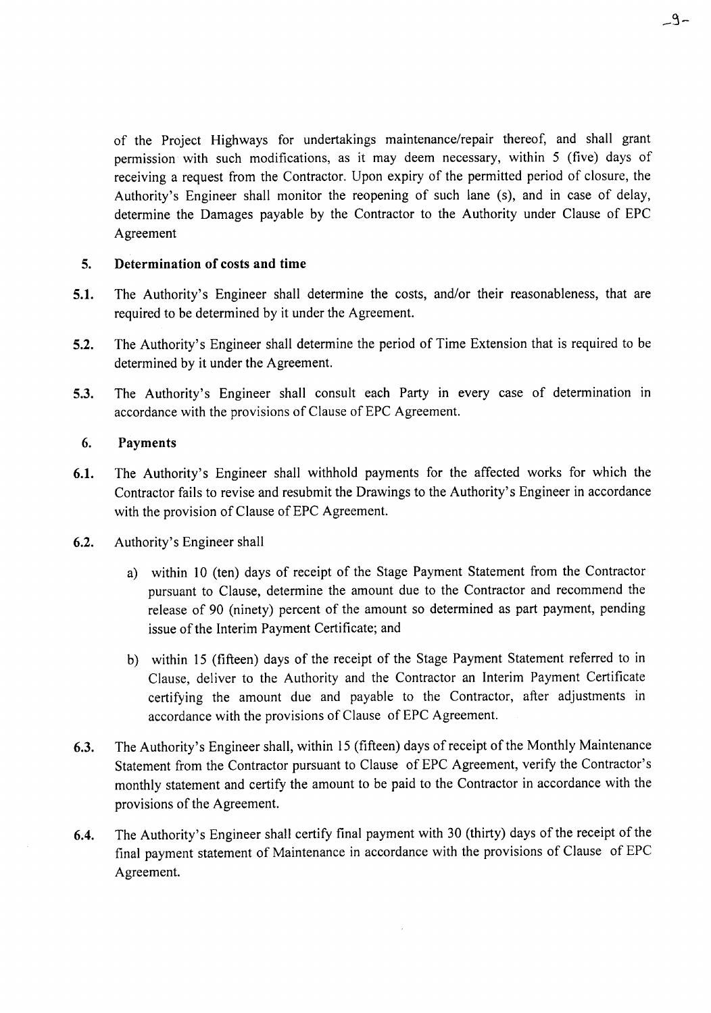of the Project Highways for undertakings maintenance/repair thereof, and shall grant permission with such modifications, as it may deem necessary, within 5 (five) days of receiving a request from the Contractor. Upon expiry of the permitted period of closure, the Authority's Engineer shall monitor the reopening of such lane (s), and in case of delay, determine the Damages payable by the Contractor to the Authority under Clause of EPC Agreement

#### 5. Determination of costs and time

- 5.1. The Authority's Engineer shall determine the costs, and/or their reasonableness, that are required to be determined by it under the Agreement.
- 5.2. The Authority's Engineer shall determine the period of Time Extension that is required to be determined by it under the Agreement.
- 5.3. The Authority's Engineer shall consult each Party in every case of determination in accordance with the provisions of Clause of EPC Agreement.

#### 6. Payments

- 6.1. The Authority's Engineer shall withhold payments for the affected works for which the Contractor fails to revise and resubmit the Drawings to the Authority's Engineer in accordance with the provision of Clause of EPC Agreement.
- 6.2. Authority's Engineer shall
	- a) within 10 (ten) days of receipt of the Stage Payment Statement from the Contractor pursuant to Clause, determine the amount due to the Contractor and recommend the release of 90 (ninety) percent of the amount so determined as part payment, pending issue of the Interim Payment Certificate; and
	- b) within 15 (fifteen) days of the receipt of the Stage Payment Statement referred to in Clause, deliver to the Authority and the Contractor an Interim Payment Certificate certifying the amount due and payable to the Contractor, after adjustments in accordance with the provisions of Clause of EPC Agreement.
- 6.3. The Authority's Engineer shall, within 15 (fifteen) days of receipt of the Monthly Maintenance Statement from the Contractor pursuant to Clause of EPC Agreement, verify the Contractor's monthly statement and certify the amount to be paid to the Contractor in accordance with the provisions of the Agreement.
- 6.4. The Authority's Engineer shall certify final payment with 30 (thirty) days of the receipt of the final payment statement of Maintenance in accordance with the provisions of Clause of EPC Agreement.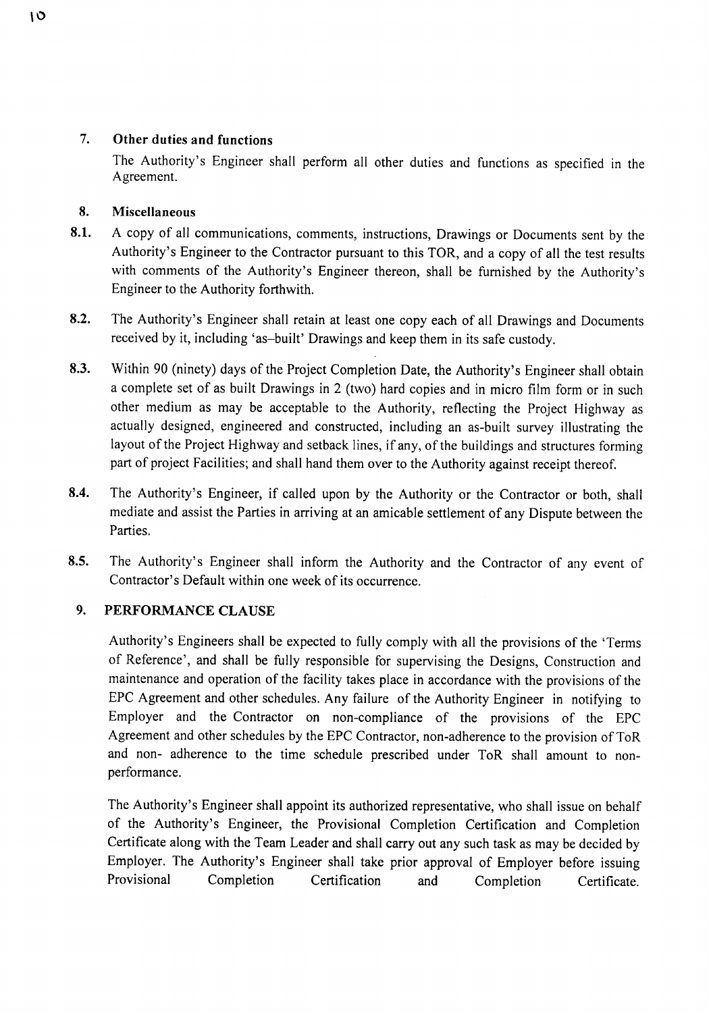#### 7. Other duties and functions

The Authority's Engineer shall perform all other duties and functions as specified in the Agreement.

## 8. Miscellaneous

- 8.1. A copy of all communications, comments, instructions, Drawings or Documents sent by the Authority's Engineer to the Contractor pursuant to this TOR, and a copy of all the test results with comments of the Authority's Engineer thereon, shall be furnished by the Authority's Engineer to the Authority forthwith.
- 8.2. The Authority's Engineer shall retain at least one copy each of all Drawings and Documents received by it, including 'as-built' Drawings and keep them in its safe custody.
- 8.3. Within 90 (ninety) days of the Project Completion Date, the Authority's Engineer shall obtain a complete set of as built Drawings in 2 (two) hard copies and in micro film form or in such other medium as may be acceptable to the Authority, reflecting the Project Highway as actually designed, engineered and constructed, including an as-built survey illustrating the layout of the Project Highway and setback lines, if any, of the buildings and structures forming part of project Facilities; and shall hand them over to the Authority against receipt thereof.
- 8.4. The Authority's Engineer, if called upon by the Authority or the Contractor or both, shall mediate and assist the Parties in arriving at an amicable settlement of any Dispute between the Parties.
- 8.5. The Authority's Engineer shall inform the Authority and the Contractor of any event of Contractor's Default within one week of its occurrence.

# 9. PERFORMANCE CLAUSE

Authority's Engineers shall be expected to fully comply with all the provisions of the 'Terms of Reference', and shall be fully responsible for supervising the Designs, Construction and maintenance and operation of the facility takes place in accordance with the provisions of the EPC Agreement and other schedules. Any failure of the Authority Engineer in notifying to Employer and the Contractor on non-compliance of the provisions of the EPC Agreement and other schedules by the EPC Contractor, non-adherence to the provision of ToR and non- adherence to the time schedule prescribed under ToR shall amount to nonperformance.

The Authority's Engineer shall appoint its authorized representative, who shall issue on behalf of the Authority's Engineer, the Provisional Completion Certification and Completion Certificate along with the Team Leader and shall carry out any such task as may be decided by Employer. The Authority's Engineer shall take prior approval of Employer before issuing Provisional Completion Certification and Completion Certificate.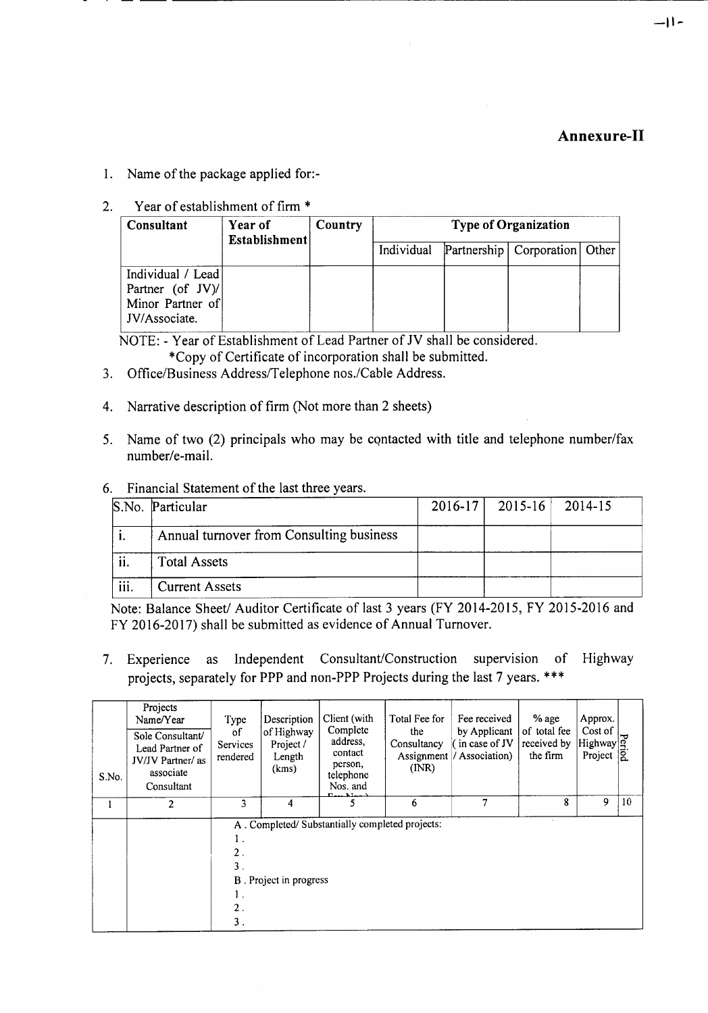# **Annexure-II**

- 1. Name of the package applied for:-
- 2. Year of establishment of firm \*

| Consultant                                                                    | Year of<br>Establishment | Country | <b>Type of Organization</b> |  |                                   |  |  |
|-------------------------------------------------------------------------------|--------------------------|---------|-----------------------------|--|-----------------------------------|--|--|
|                                                                               |                          |         | Individual                  |  | Partnership   Corporation   Other |  |  |
| Individual / Lead<br>Partner (of $JV$ )/<br>Minor Partner of<br>JV/Associate. |                          |         |                             |  |                                   |  |  |

· -- --- -----------------------------------------------------------------------

NOTE: - Year of Establishment of Lead Partner of IV shall be considered.

- \*Copy of Certificate of incorporation shall be submitted.
- 3. Office/Business Address/Telephone nos./Cable Address.
- 4. Narrative description of firm (Not more than 2 sheets)
- 5. Name of two (2) principals who may be contacted with title and telephone number/fax number/e-mail.
- 6. Financial Statement of the last three years.

|      | S.No. Particular                         | $2016-17$   2015-16   2014-15 |  |
|------|------------------------------------------|-------------------------------|--|
|      | Annual turnover from Consulting business |                               |  |
| ii.  | <b>Total Assets</b>                      |                               |  |
| iii. | <b>Current Assets</b>                    |                               |  |

Note: Balance Sheet/ Auditor Certificate of last 3 years (FY 2014-2015, FY 2015-2016 and FY 2016-2017) shall be submitted as evidence of Annual Turnover.

7. Experience as Independent Consultant/Construction supervision of Highway projects, separately for PPP and non-PPP Projects during the last 7 years. \*\*\*

| S.No. | Projects<br>Name/Year<br>Sole Consultant/<br>Lead Partner of<br><b>JV/JV</b> Partner/ as<br>associate<br>Consultant | Type<br>οf<br>Services<br>rendered               | Description<br>of Highway<br>Project /<br>Length<br>(kms) | Client (with<br>Complete<br>address,<br>contact<br>person,<br>telephone<br>Nos. and<br>$\Gamma_{\text{max}}$ . Mass | Total Fee for<br>the<br>Consultancy<br>(NR) | Fee received<br>by Applicant<br>(in case of JV<br>Assignment / Association) | $%$ age<br>of total fee<br>received by<br>the firm | Approx.<br>Cost of<br>Highway q <sup>2</sup><br>Project <b>Q</b> |    |
|-------|---------------------------------------------------------------------------------------------------------------------|--------------------------------------------------|-----------------------------------------------------------|---------------------------------------------------------------------------------------------------------------------|---------------------------------------------|-----------------------------------------------------------------------------|----------------------------------------------------|------------------------------------------------------------------|----|
|       | $\overline{2}$                                                                                                      | 3                                                | 4                                                         |                                                                                                                     | 6                                           | 7                                                                           | 8                                                  | 9                                                                | 10 |
|       |                                                                                                                     | 2.<br>$\overline{3}$ .<br>$\overline{2}$ .<br>3. | B. Project in progress                                    | A. Completed/Substantially completed projects:                                                                      |                                             |                                                                             |                                                    |                                                                  |    |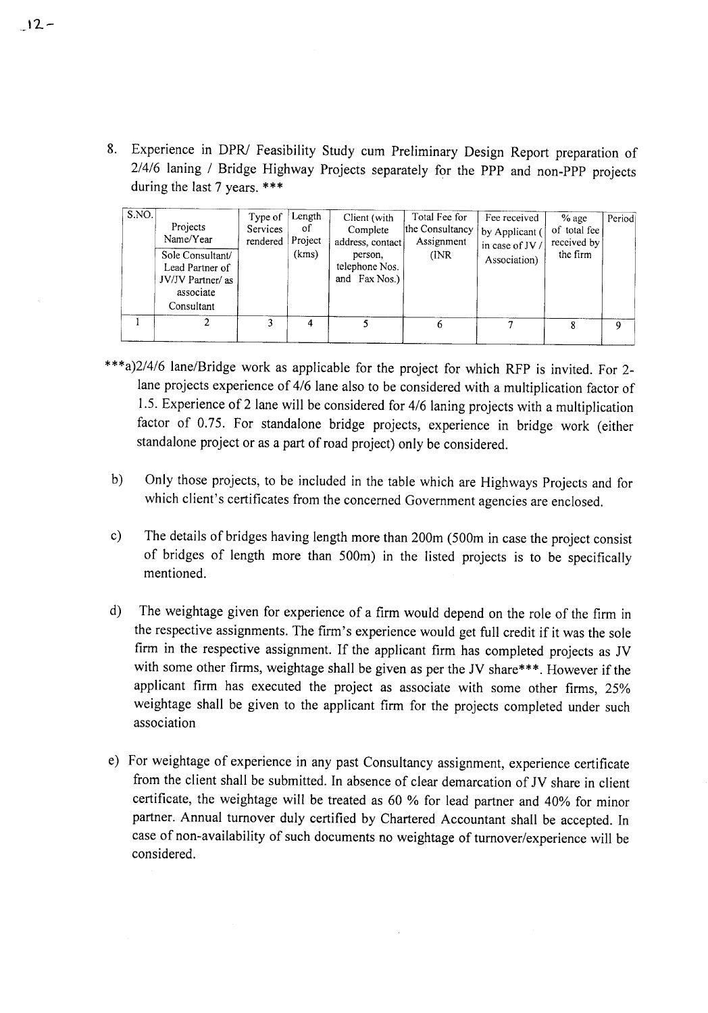8. Experience in *DPRI* Feasibility Study cum Preliminary Design Report preparation of 2/4/6 laning / Bridge Highway Projects separately for the PPP and non-PPP projects during the last 7 years. \*\*\*

| S.NO. | Projects<br>Name/Year<br>Sole Consultant/<br>Lead Partner of<br>JV/JV Partner/ as<br>associate<br>Consultant | Type of<br>Services<br>rendered | Length<br>οf<br>Project<br>(kms) | Client (with<br>Complete<br>address, contact<br>person.<br>telephone Nos.<br>and Fax Nos.) | Total Fee for<br>the Consultancy<br>Assignment<br>(INR) | Fee received<br>by Applicant (<br>in case of JV /<br>Association) | $%$ age<br>of total fee<br>received by<br>the firm | Period |
|-------|--------------------------------------------------------------------------------------------------------------|---------------------------------|----------------------------------|--------------------------------------------------------------------------------------------|---------------------------------------------------------|-------------------------------------------------------------------|----------------------------------------------------|--------|
|       |                                                                                                              |                                 |                                  |                                                                                            | 6                                                       | 7                                                                 |                                                    | 9      |

- \*\*\*a)2/4/6 lane/Bridge work as applicable for the project for which RFP is invited. For 2 lane projects experience of 4/6 lane also to be considered with a multiplication factor of 1.5. Experience of 2 lane will be considered for 4/6 laning projects with a multiplication factor of 0.75. For standalone bridge projects, experience in bridge work (either standalone project or as a part of road project) only be considered.
- b) Only those projects, to be included in the table which are Highways Projects and for which client's certificates from the concerned Government agencies are enclosed.
- c) The details of bridges having length more than 200m (500m in case the project consist of bridges of length more than 500m) in the listed projects is to be specifically mentioned.
- d) The weightage given for experience of a firm would depend on the role of the firm in the respective assignments. The firm's experience would get full credit if it was the sole firm in the respective assignment. If the applicant firm has completed projects as IV with some other firms, weightage shall be given as per the JV share\*\*\*. However if the applicant firm has executed the project as associate with some other firms, 25% weightage shall be given to the applicant firm for the projects completed under such association
- e) For weightage of experience in any past Consultancy assignment, experience certificate from the client shall be submitted. In absence of clear demarcation of IV share in client certificate, the weightage will be treated as 60 % for lead partner and 40% for minor partner. Annual turnover duly certified by Chartered Accountant shall be accepted. In case of non-availability of such documents no weightage of turnover/experience will be considered.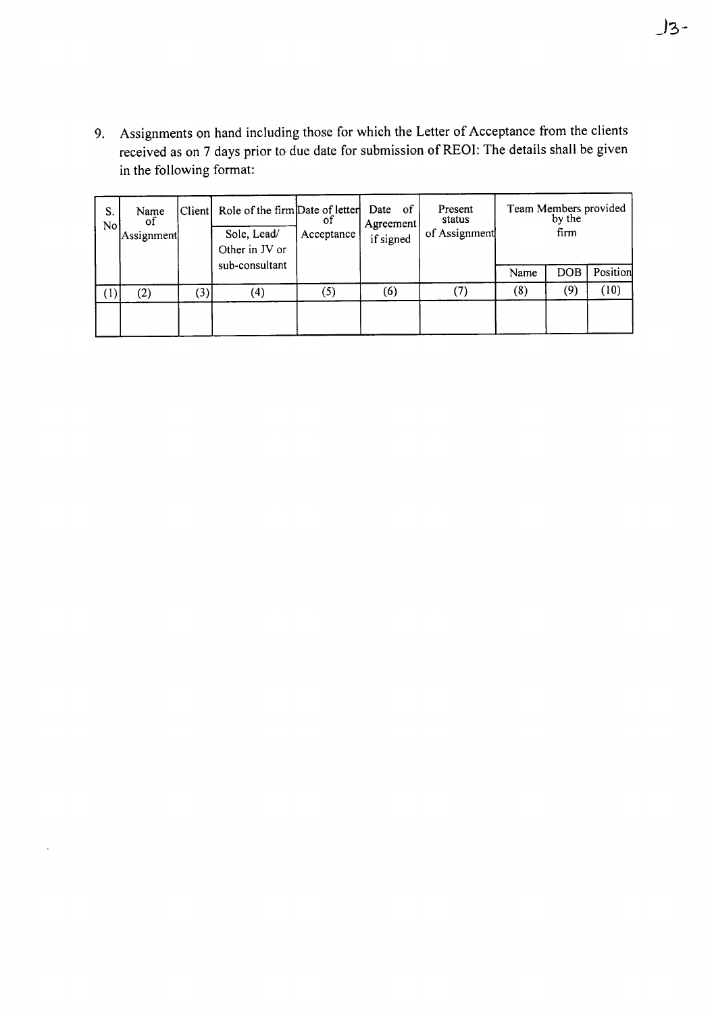9. Assignments on hand including those for which the Letter of Acceptance from the clients received as on 7 days prior to due date for submission of REOI: The details shall be given in the following format:

| S.<br>No | Name<br>of<br>Assignment |     | Client Role of the firm Date of letter<br>Sole, Lead/<br>Other in JV or | or<br>Acceptance  | Agreement<br>if signed | Date of<br>Present<br>status<br>of Assignment | Team Members provided | by the<br>firm |          |
|----------|--------------------------|-----|-------------------------------------------------------------------------|-------------------|------------------------|-----------------------------------------------|-----------------------|----------------|----------|
|          |                          |     | sub-consultant                                                          |                   |                        |                                               | Name                  | <b>DOB</b>     | Position |
| U,       | $\rm(2)$                 | (3) | $\left( 4\right)$                                                       | $\left( 5\right)$ | (6)                    |                                               | $\left(8\right)$      | (9)            | (10)     |
|          |                          |     |                                                                         |                   |                        |                                               |                       |                |          |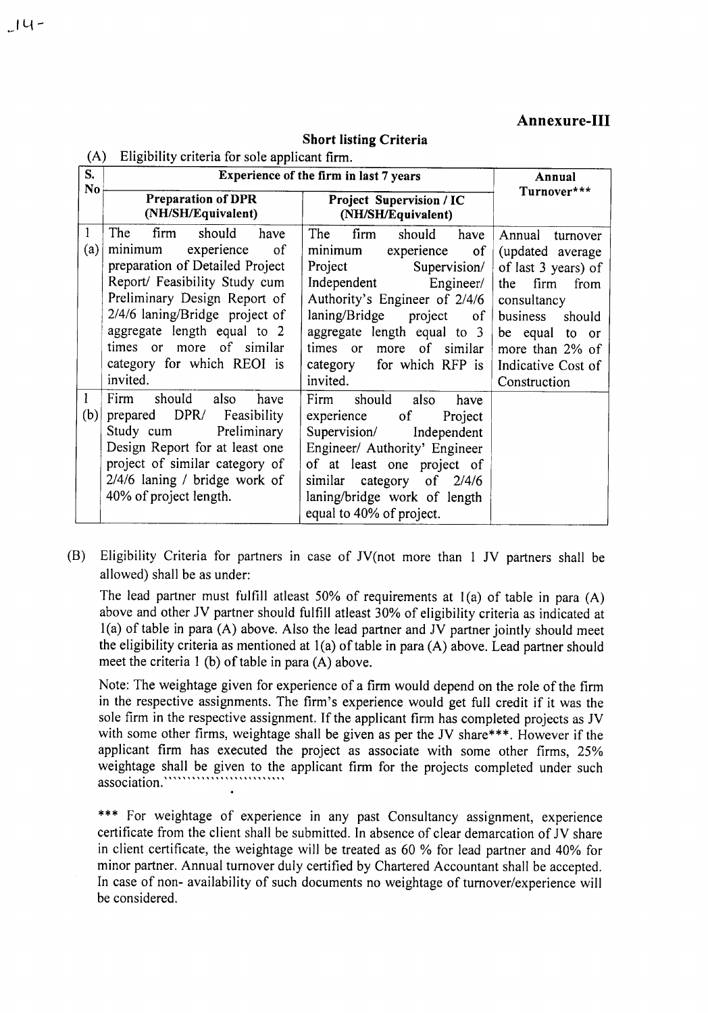#### Annexure-III

#### (A) Eligibility criteria for sale applicant firm. Experience of the firm in last 7 years Annual<br>
Turnover\*\*\*<br>
Turnover\*\*\* No~-----------------------.----------------------~ Turnover\*\*\* Preparation ofDPR Project Supervision*I* I'C (NH/SH/Equivalent) (NWSH/Equivalent) Annual turnover (updated average of last 3 years) of the firm from consultancy business should be equal to or more than 2% of Indicative Cost of Construction S. 1 The firm should have (a) minimum experience of preparation of Detailed Project Report/ Feasibility Study cum Preliminary Design Report of 2/4/6 laning/Bridge project of aggregate length equal to 2 times or more of similar category for which REOI is invited. The firm should have minimum experience of Project Supervision/ Independent Engineer/ Authority's Engineer of 2/4/6 laning/Bridge project of aggregate length equal to 3 times or more of similar category for which RFP is invited. 1 Firm should also have (b) prepared *DPR!* Feasibility Study cum Preliminary Design Report for at least one project of similar category of 2/4/6 laning / bridge work of 40% of project length. Firm should also have experience of Project Supervision/ Independent Engineer/ Authority' Engineer of at least one project of similar category of 2/4/6 laning/bridge work of length equal to 40% of project.

**Short listing Criteria** 

(B) Eligibility Criteria for partners in case of IV(not more than 1 IV partners shall be allowed) shall be as under:

The lead partner must fulfill atleast 50% of requirements at  $l(a)$  of table in para  $(A)$ above and other IV partner should fulfill atleast 30% of eligibility criteria as indicated at  $l(a)$  of table in para (A) above. Also the lead partner and JV partner jointly should meet the eligibility criteria as mentioned at I(a) of table in para (A) above. Lead partner should meet the criteria 1 (b) of table in para (A) above.

Note: The weightage given for experience of a firm would depend on the role of the firm in the respective assignments. The firm's experience would get full credit if it was the sole firm in the respective assignment. If the applicant firm has completed projects as IV with some other firms, weightage shall be given as per the JV share\*\*\*. However if the applicant firm has executed the project as associate with some other firms, 25% weightage shall be given to the applicant firm for the projects completed under such **association. ' , ", ...**'I' '1"'"'' , , 'I' , , "'" .

\*\*\* For weightage of experience in any past Consultancy assignment, experience certificate from the client shall be submitted. In absence of clear demarcation of IV share in client certificate, the weightage will be treated as 60 % for lead partner and 40% for minor partner. Annual turnover duly certified by Chartered Accountant shall be accepted. In case of non- availability of such documents no weightage of turnover/experience will be considered.